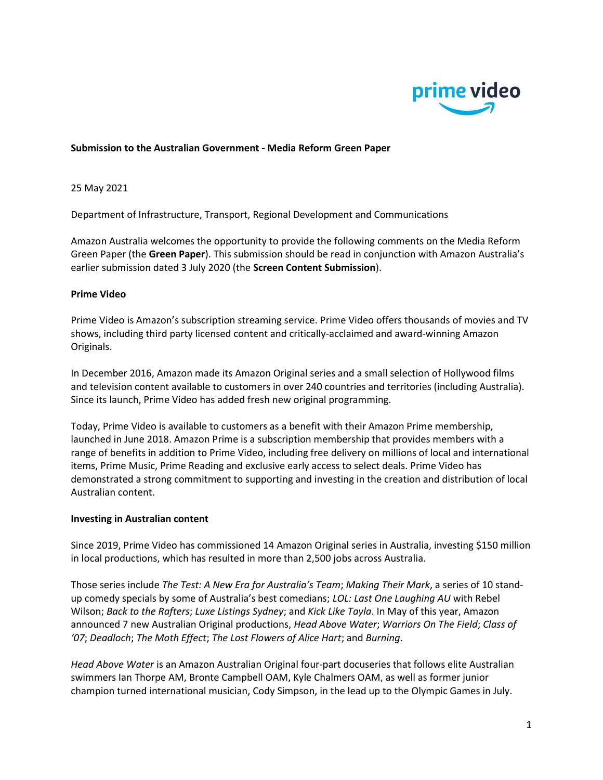

### Submission to the Australian Government - Media Reform Green Paper

25 May 2021

Department of Infrastructure, Transport, Regional Development and Communications

Amazon Australia welcomes the opportunity to provide the following comments on the Media Reform Green Paper (the Green Paper). This submission should be read in conjunction with Amazon Australia's earlier submission dated 3 July 2020 (the Screen Content Submission).

#### Prime Video

Prime Video is Amazon's subscription streaming service. Prime Video offers thousands of movies and TV shows, including third party licensed content and critically-acclaimed and award-winning Amazon Originals.

In December 2016, Amazon made its Amazon Original series and a small selection of Hollywood films and television content available to customers in over 240 countries and territories (including Australia). Since its launch, Prime Video has added fresh new original programming.

Today, Prime Video is available to customers as a benefit with their Amazon Prime membership, launched in June 2018. Amazon Prime is a subscription membership that provides members with a range of benefits in addition to Prime Video, including free delivery on millions of local and international items, Prime Music, Prime Reading and exclusive early access to select deals. Prime Video has demonstrated a strong commitment to supporting and investing in the creation and distribution of local Australian content.

#### Investing in Australian content

Since 2019, Prime Video has commissioned 14 Amazon Original series in Australia, investing \$150 million in local productions, which has resulted in more than 2,500 jobs across Australia.

Those series include The Test: A New Era for Australia's Team; Making Their Mark, a series of 10 standup comedy specials by some of Australia's best comedians; LOL: Last One Laughing AU with Rebel Wilson; Back to the Rafters; Luxe Listings Sydney; and Kick Like Tayla. In May of this year, Amazon announced 7 new Australian Original productions, Head Above Water; Warriors On The Field; Class of '07; Deadloch; The Moth Effect; The Lost Flowers of Alice Hart; and Burning.

Head Above Water is an Amazon Australian Original four-part docuseries that follows elite Australian swimmers Ian Thorpe AM, Bronte Campbell OAM, Kyle Chalmers OAM, as well as former junior champion turned international musician, Cody Simpson, in the lead up to the Olympic Games in July.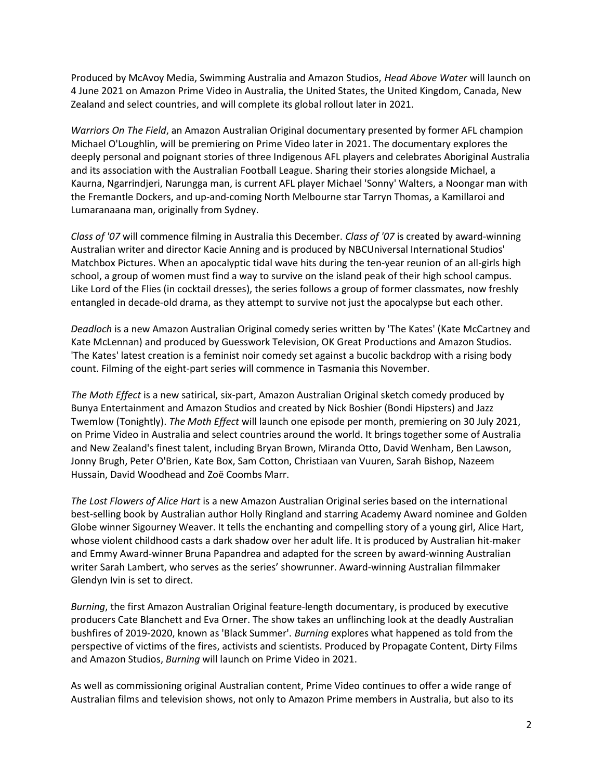Produced by McAvoy Media, Swimming Australia and Amazon Studios, Head Above Water will launch on 4 June 2021 on Amazon Prime Video in Australia, the United States, the United Kingdom, Canada, New Zealand and select countries, and will complete its global rollout later in 2021.

Warriors On The Field, an Amazon Australian Original documentary presented by former AFL champion Michael O'Loughlin, will be premiering on Prime Video later in 2021. The documentary explores the deeply personal and poignant stories of three Indigenous AFL players and celebrates Aboriginal Australia and its association with the Australian Football League. Sharing their stories alongside Michael, a Kaurna, Ngarrindjeri, Narungga man, is current AFL player Michael 'Sonny' Walters, a Noongar man with the Fremantle Dockers, and up-and-coming North Melbourne star Tarryn Thomas, a Kamillaroi and Lumaranaana man, originally from Sydney.

Class of '07 will commence filming in Australia this December. Class of '07 is created by award-winning Australian writer and director Kacie Anning and is produced by NBCUniversal International Studios' Matchbox Pictures. When an apocalyptic tidal wave hits during the ten-year reunion of an all-girls high school, a group of women must find a way to survive on the island peak of their high school campus. Like Lord of the Flies (in cocktail dresses), the series follows a group of former classmates, now freshly entangled in decade-old drama, as they attempt to survive not just the apocalypse but each other.

Deadloch is a new Amazon Australian Original comedy series written by 'The Kates' (Kate McCartney and Kate McLennan) and produced by Guesswork Television, OK Great Productions and Amazon Studios. 'The Kates' latest creation is a feminist noir comedy set against a bucolic backdrop with a rising body count. Filming of the eight-part series will commence in Tasmania this November.

The Moth Effect is a new satirical, six-part, Amazon Australian Original sketch comedy produced by Bunya Entertainment and Amazon Studios and created by Nick Boshier (Bondi Hipsters) and Jazz Twemlow (Tonightly). The Moth Effect will launch one episode per month, premiering on 30 July 2021, on Prime Video in Australia and select countries around the world. It brings together some of Australia and New Zealand's finest talent, including Bryan Brown, Miranda Otto, David Wenham, Ben Lawson, Jonny Brugh, Peter O'Brien, Kate Box, Sam Cotton, Christiaan van Vuuren, Sarah Bishop, Nazeem Hussain, David Woodhead and Zoë Coombs Marr.

The Lost Flowers of Alice Hart is a new Amazon Australian Original series based on the international best-selling book by Australian author Holly Ringland and starring Academy Award nominee and Golden Globe winner Sigourney Weaver. It tells the enchanting and compelling story of a young girl, Alice Hart, whose violent childhood casts a dark shadow over her adult life. It is produced by Australian hit-maker and Emmy Award-winner Bruna Papandrea and adapted for the screen by award-winning Australian writer Sarah Lambert, who serves as the series' showrunner. Award-winning Australian filmmaker Glendyn Ivin is set to direct.

Burning, the first Amazon Australian Original feature-length documentary, is produced by executive producers Cate Blanchett and Eva Orner. The show takes an unflinching look at the deadly Australian bushfires of 2019-2020, known as 'Black Summer'. Burning explores what happened as told from the perspective of victims of the fires, activists and scientists. Produced by Propagate Content, Dirty Films and Amazon Studios, Burning will launch on Prime Video in 2021.

As well as commissioning original Australian content, Prime Video continues to offer a wide range of Australian films and television shows, not only to Amazon Prime members in Australia, but also to its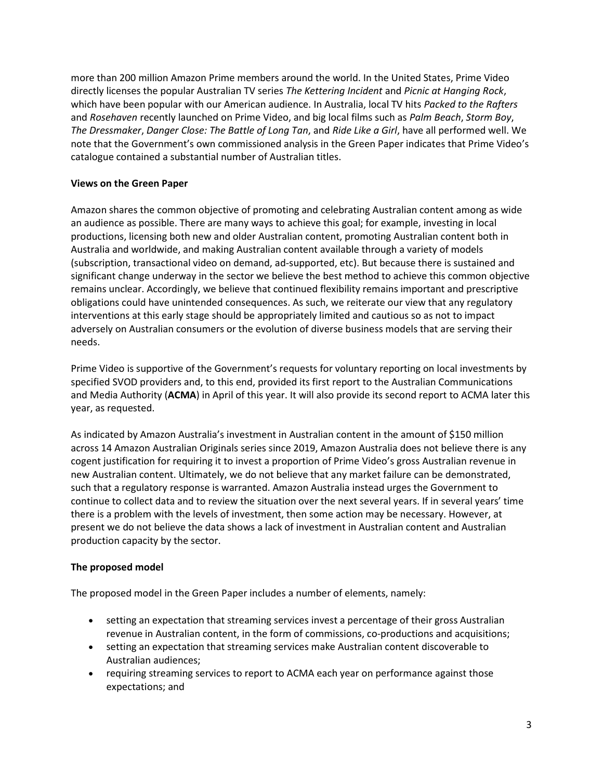more than 200 million Amazon Prime members around the world. In the United States, Prime Video directly licenses the popular Australian TV series The Kettering Incident and Picnic at Hanging Rock, which have been popular with our American audience. In Australia, local TV hits Packed to the Rafters and Rosehaven recently launched on Prime Video, and big local films such as Palm Beach, Storm Boy, The Dressmaker, Danger Close: The Battle of Long Tan, and Ride Like a Girl, have all performed well. We note that the Government's own commissioned analysis in the Green Paper indicates that Prime Video's catalogue contained a substantial number of Australian titles.

## Views on the Green Paper

Amazon shares the common objective of promoting and celebrating Australian content among as wide an audience as possible. There are many ways to achieve this goal; for example, investing in local productions, licensing both new and older Australian content, promoting Australian content both in Australia and worldwide, and making Australian content available through a variety of models (subscription, transactional video on demand, ad-supported, etc). But because there is sustained and significant change underway in the sector we believe the best method to achieve this common objective remains unclear. Accordingly, we believe that continued flexibility remains important and prescriptive obligations could have unintended consequences. As such, we reiterate our view that any regulatory interventions at this early stage should be appropriately limited and cautious so as not to impact adversely on Australian consumers or the evolution of diverse business models that are serving their needs.

Prime Video is supportive of the Government's requests for voluntary reporting on local investments by specified SVOD providers and, to this end, provided its first report to the Australian Communications and Media Authority (ACMA) in April of this year. It will also provide its second report to ACMA later this year, as requested.

As indicated by Amazon Australia's investment in Australian content in the amount of \$150 million across 14 Amazon Australian Originals series since 2019, Amazon Australia does not believe there is any cogent justification for requiring it to invest a proportion of Prime Video's gross Australian revenue in new Australian content. Ultimately, we do not believe that any market failure can be demonstrated, such that a regulatory response is warranted. Amazon Australia instead urges the Government to continue to collect data and to review the situation over the next several years. If in several years' time there is a problem with the levels of investment, then some action may be necessary. However, at present we do not believe the data shows a lack of investment in Australian content and Australian production capacity by the sector.

# The proposed model

The proposed model in the Green Paper includes a number of elements, namely:

- setting an expectation that streaming services invest a percentage of their gross Australian revenue in Australian content, in the form of commissions, co-productions and acquisitions;
- setting an expectation that streaming services make Australian content discoverable to Australian audiences;
- requiring streaming services to report to ACMA each year on performance against those expectations; and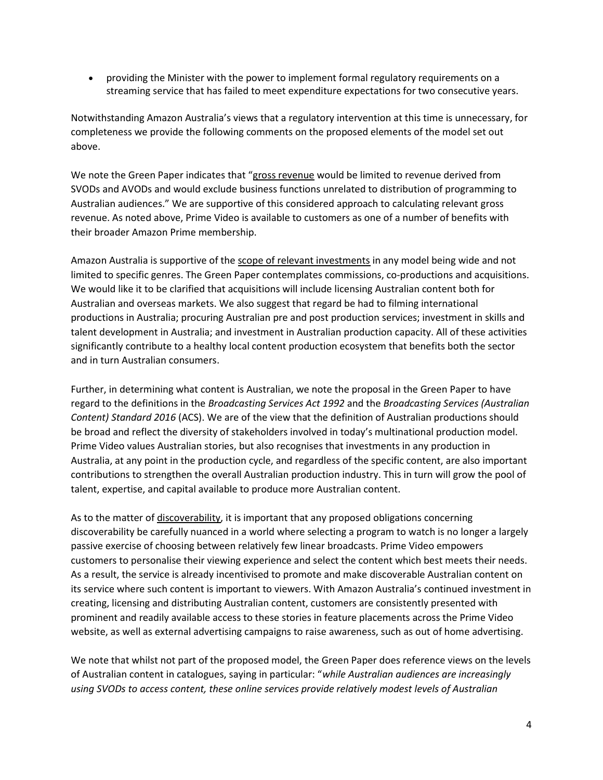providing the Minister with the power to implement formal regulatory requirements on a streaming service that has failed to meet expenditure expectations for two consecutive years.

Notwithstanding Amazon Australia's views that a regulatory intervention at this time is unnecessary, for completeness we provide the following comments on the proposed elements of the model set out above.

We note the Green Paper indicates that "gross revenue would be limited to revenue derived from SVODs and AVODs and would exclude business functions unrelated to distribution of programming to Australian audiences." We are supportive of this considered approach to calculating relevant gross revenue. As noted above, Prime Video is available to customers as one of a number of benefits with their broader Amazon Prime membership.

Amazon Australia is supportive of the scope of relevant investments in any model being wide and not limited to specific genres. The Green Paper contemplates commissions, co-productions and acquisitions. We would like it to be clarified that acquisitions will include licensing Australian content both for Australian and overseas markets. We also suggest that regard be had to filming international productions in Australia; procuring Australian pre and post production services; investment in skills and talent development in Australia; and investment in Australian production capacity. All of these activities significantly contribute to a healthy local content production ecosystem that benefits both the sector and in turn Australian consumers.

Further, in determining what content is Australian, we note the proposal in the Green Paper to have regard to the definitions in the Broadcasting Services Act 1992 and the Broadcasting Services (Australian Content) Standard 2016 (ACS). We are of the view that the definition of Australian productions should be broad and reflect the diversity of stakeholders involved in today's multinational production model. Prime Video values Australian stories, but also recognises that investments in any production in Australia, at any point in the production cycle, and regardless of the specific content, are also important contributions to strengthen the overall Australian production industry. This in turn will grow the pool of talent, expertise, and capital available to produce more Australian content.

As to the matter of discoverability, it is important that any proposed obligations concerning discoverability be carefully nuanced in a world where selecting a program to watch is no longer a largely passive exercise of choosing between relatively few linear broadcasts. Prime Video empowers customers to personalise their viewing experience and select the content which best meets their needs. As a result, the service is already incentivised to promote and make discoverable Australian content on its service where such content is important to viewers. With Amazon Australia's continued investment in creating, licensing and distributing Australian content, customers are consistently presented with prominent and readily available access to these stories in feature placements across the Prime Video website, as well as external advertising campaigns to raise awareness, such as out of home advertising.

We note that whilst not part of the proposed model, the Green Paper does reference views on the levels of Australian content in catalogues, saying in particular: "while Australian audiences are increasingly using SVODs to access content, these online services provide relatively modest levels of Australian